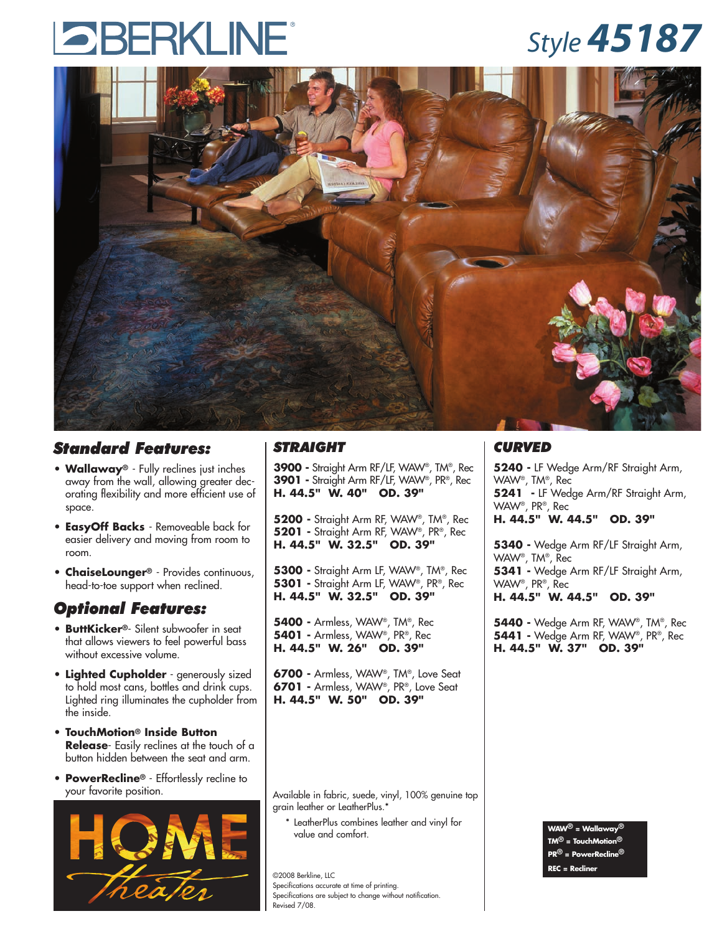# **SBERKLINE**

### *Style 45187*



#### *Standard Features:*

- **Wallaway®** Fully reclines just inches away from the wall, allowing greater decorating flexibility and more efficient use of space.
- **• EasyOff Backs**  Removeable back for easier delivery and moving from room to room.
- **• ChaiseLounger®** Provides continuous, head-to-toe support when reclined.

#### *Optional Features:*

- **ButtKicker®** Silent subwoofer in seat that allows viewers to feel powerful bass without excessive volume.
- **• Lighted Cupholder** generously sized to hold most cans, bottles and drink cups. Lighted ring illuminates the cupholder from the inside.
- **TouchMotion® Inside Button Release**- Easily reclines at the touch of a button hidden between the seat and arm.
- **PowerRecline®** Effortlessly recline to your favorite position.



#### *STRAIGHT*

**3900 -** Straight Arm RF/LF, WAW®, TM®, Rec **3901 -** Straight Arm RF/LF, WAW®, PR®, Rec **H. 44.5" W. 40" OD. 39"**

**5200 -** Straight Arm RF, WAW®, TM®, Rec **5201 -** Straight Arm RF, WAW®, PR®, Rec **H. 44.5" W. 32.5" OD. 39"**

**5300 -** Straight Arm LF, WAW®, TM®, Rec **5301 -** Straight Arm LF, WAW®, PR®, Rec **H. 44.5" W. 32.5" OD. 39"**

**5400 -** Armless, WAW®, TM®, Rec **5401 -** Armless, WAW®, PR®, Rec **H. 44.5" W. 26" OD. 39"**

**6700 -** Armless, WAW®, TM®, Love Seat **6701 -** Armless, WAW®, PR®, Love Seat **H. 44.5" W. 50" OD. 39"**

Available in fabric, suede, vinyl, 100% genuine top grain leather or LeatherPlus.\*

\* LeatherPlus combines leather and vinyl for value and comfort.

©2008 Berkline, LLC Specifications accurate at time of printing. Specifications are subject to change without notification. Revised 7/08.

#### *CURVED*

**5240 -** LF Wedge Arm/RF Straight Arm, WAW®, TM®, Rec **5241 -** LF Wedge Arm/RF Straight Arm, WAW®, PR®, Rec **H. 44.5" W. 44.5" OD. 39"**

**5340 -** Wedge Arm RF/LF Straight Arm, WAW®, TM®, Rec **5341 -** Wedge Arm RF/LF Straight Arm, WAW®, PR®, Rec **H. 44.5" W. 44.5" OD. 39"**

**5440 -** Wedge Arm RF, WAW®, TM®, Rec **5441 -** Wedge Arm RF, WAW®, PR®, Rec **H. 44.5" W. 37" OD. 39"**

> **WAW® = Wallaway® TM® = TouchMotion® PR® = PowerRecline® REC = Recliner**